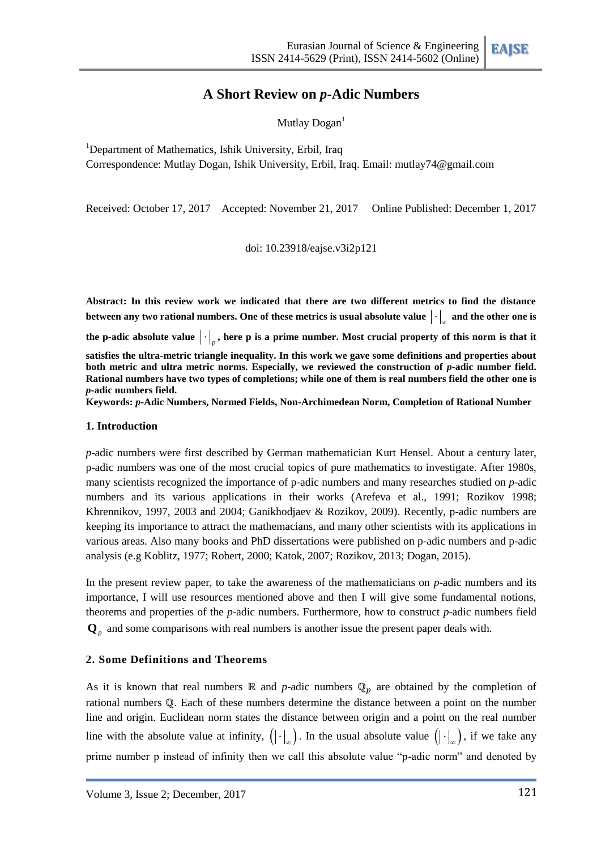# **A Short Review on** *p***-Adic Numbers**

Mutlay  $Dogan<sup>1</sup>$ 

<sup>1</sup>Department of Mathematics, Ishik University, Erbil, Iraq Correspondence: Mutlay Dogan, Ishik University, Erbil, Iraq. Email: mutlay74@gmail.com

Received: October 17, 2017 Accepted: November 21, 2017 Online Published: December 1, 2017

doi: 10.23918/eajse.v3i2p121

**Abstract: In this review work we indicated that there are two different metrics to find the distance**  between any two rational numbers. One of these metrics is usual absolute value  $|\cdot|_{_\infty}$  and the other one is the p-adic absolute value  $|\cdot|_p$ , here p is a prime number. Most crucial property of this norm is that it **satisfies the ultra-metric triangle inequality. In this work we gave some definitions and properties about both metric and ultra metric norms. Especially, we reviewed the construction of** *p***-adic number field. Rational numbers have two types of completions; while one of them is real numbers field the other one is**  *p***-adic numbers field.**

**Keywords:** *p***-Adic Numbers, Normed Fields, Non-Archimedean Norm, Completion of Rational Number**

## **1. Introduction**

*p*-adic numbers were first described by German mathematician Kurt Hensel. About a century later, p-adic numbers was one of the most crucial topics of pure mathematics to investigate. After 1980s, many scientists recognized the importance of p-adic numbers and many researches studied on *p*-adic numbers and its various applications in their works [\(Arefeva et al.,](#page-10-0) 1991; Rozikov 1998; [Khrennikov,](#page-10-1) 1997, 2003 and [2004;](#page-10-2) [Ganikhodjaev &](#page-10-3) Rozikov, 2009). Recently, p-adic numbers are keeping its importance to attract the mathemacians, and many other scientists with its applications in various areas. Also many books and PhD dissertations were published on p-adic numbers and p-adic analysis (e.g Koblitz, 1977; Robert, 2000; Katok, 2007; Rozikov, 2013; Dogan, 2015).

In the present review paper, to take the awareness of the mathematicians on *p*-adic numbers and its importance, I will use resources mentioned above and then I will give some fundamental notions, theorems and properties of the *p*-adic numbers. Furthermore, how to construct *p*-adic numbers field  $\mathbf{Q}_p$  and some comparisons with real numbers is another issue the present paper deals with.

# **2. Some Definitions and Theorems**

As it is known that real numbers  $\mathbb R$  and *p*-adic numbers  $\mathbb Q_p$  are obtained by the completion of rational numbers  $\Phi$ . Each of these numbers determine the distance between a point on the number line and origin. Euclidean norm states the distance between origin and a point on the real number line with the absolute value at infinity,  $(| \cdot |_{\infty})$ . In the usual absolute value  $(| \cdot |_{\infty})$ , if we take any prime number p instead of infinity then we call this absolute value "p-adic norm" and denoted by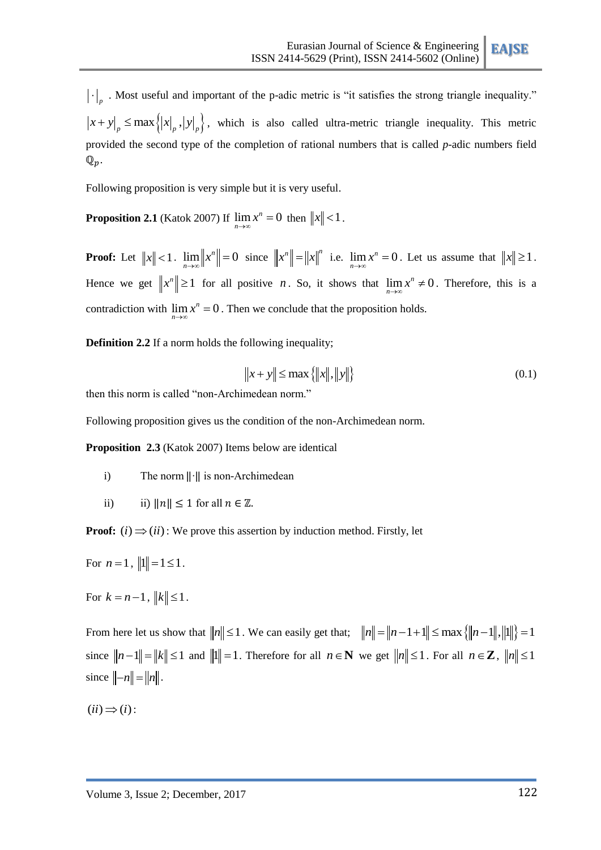$\cdot \big|_p$ . Most useful and important of the p-adic metric is "it satisfies the strong triangle inequality."  $x + y \Big|_p \le \max \left\{ |x|_p, |y|_p \right\},\}$  which is also called ultra-metric triangle inequality. This metric provided the second type of the completion of rational numbers that is called *p*-adic numbers field  $\mathbb{Q}_p$ .

Following proposition is very simple but it is very useful.

**Proposition 2.1** [\(Katok 2007\)](file:///C:/Users/MIQDAD/Desktop/Research%2017-18/6%20Ağustos%202015%20TezSon.doc%23_ENREF_14) If  $\lim_{n \to \infty} x^n = 0$  then  $||x|| < 1$ .

**Proof:** Let  $||x|| < 1$ .  $\lim_{n \to \infty} ||x^n|| = 0$  $\lim_{n\to\infty}$   $||x^n|| = 0$  since  $||x^n|| = ||x||^n$  i.e.  $\lim_{n\to\infty} x^n = 0$ . Let us assume that  $||x|| \ge 1$ . Hence we get  $||x^n|| \ge 1$  for all positive *n*. So, it shows that  $\lim_{n \to \infty} x^n \ne 0$  $\lim_{n \to \infty} x^n \neq 0$ . Therefore, this is a contradiction with  $\lim_{n\to\infty} x^n = 0$ . Then we conclude that the proposition holds.

**Definition 2.2** If a norm holds the following inequality;

$$
|x + y| \le \max\{|x\|, \|y\|\}\tag{0.1}
$$

then this norm is called "non-Archimedean norm."

Following proposition gives us the condition of the non-Archimedean norm.

**Proposition 2.3** [\(Katok 2007\)](file:///C:/Users/MIQDAD/Desktop/Research%2017-18/6%20Ağustos%202015%20TezSon.doc%23_ENREF_14) Items below are identical

- i) The norm  $\|\cdot\|$  is non-Archimedean
- ii) ii)  $||n|| \leq 1$  for all  $n \in \mathbb{Z}$ .

**Proof:**  $(i) \implies (ii)$ : We prove this assertion by induction method. Firstly, let

For  $n = 1$ ,  $||1|| = 1 \le 1$ .

For  $k = n - 1$ ,  $||k|| \le 1$ .

From here let us show that  $||n|| \le 1$ . We can easily get that;  $||n|| = ||n-1+1|| \le \max\{||n-1||, ||1||\} = 1$ since  $||n-1|| = ||k|| \le 1$  and  $||1|| = 1$ . Therefore for all  $n \in \mathbb{N}$  we get  $||n|| \le 1$ . For all  $n \in \mathbb{Z}$ ,  $||n|| \le 1$ since  $\|-n\| = \|n\|$ .

 $(ii) \Rightarrow (i)$ :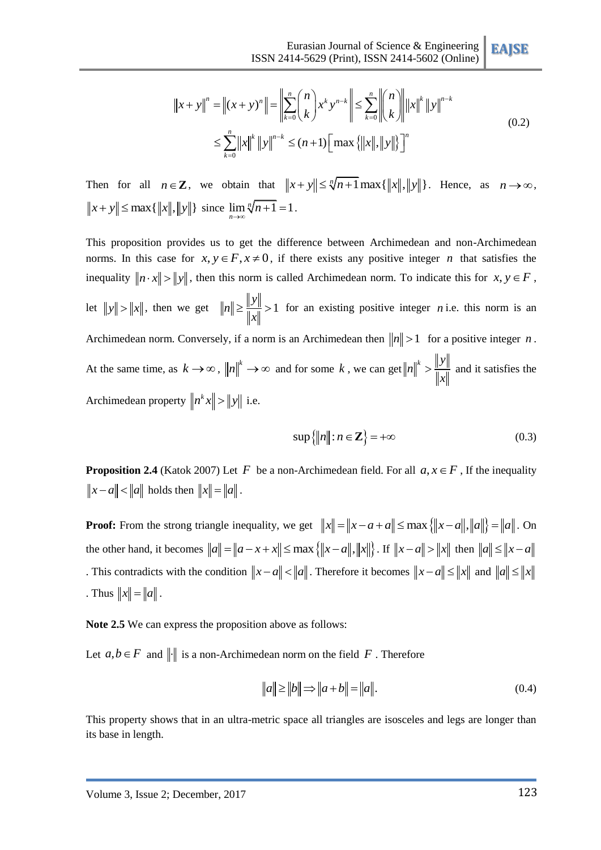$$
\text{ISSN 2414-5629 (Print), ISSN 2414-5602 (Online)} \longrightarrow \text{SSN 2414-5602 (Online)}
$$
\n
$$
\|x + y\|^n = \left\|(x + y)^n\right\| = \left\|\sum_{k=0}^n \binom{n}{k} x^k y^{n-k}\right\| \le \sum_{k=0}^n \left\|\binom{n}{k}\right\| \|x\|^k \|y\|^{n-k}
$$
\n
$$
\le \sum_{k=0}^n \|x\|^k \|y\|^{n-k} \le (n+1) \left[\max \{\|x\|, \|y\|\}\right]^n
$$
\n(0.2)

Then for all  $n \in \mathbb{Z}$ , we obtain that  $||x+y|| \le \sqrt[n]{n+1} \max\{||x||, ||y||\}$ . Hence, as  $n \to \infty$ ,  $||x|| \leq \max\{\|x\|, \|y\|\} \text{ since } \lim_{n \to \infty} \sqrt[n]{n+1} = 1.$ 

This proposition provides us to get the difference between Archimedean and non-Archimedean norms. In this case for  $x, y \in F, x \neq 0$ , if there exists any positive integer *n* that satisfies the inequality  $\|n \cdot x\| > \|y\|$ , then this norm is called Archimedean norm. To indicate this for  $x, y \in F$ , let  $||y|| > ||x||$ , then we get  $||n|| \ge \frac{||y||}{||y||} > 1$ *y n x*  $\geq \frac{||y||}{||y||} > 1$  for an existing positive integer *n* i.e. this norm is an Archimedean norm. Conversely, if a norm is an Archimedean then  $||n|| > 1$  for a positive integer *n*. At the same time, as  $k \to \infty$ ,  $||n||^k \to \infty$  and for some k, we can get  $||n||^k > \frac{||y||^k}{\|y\|}$ *n x*  $\frac{||y||}{||y||}$  and it satisfies the Archimedean property  $||n^k x|| > ||y||$  i.e.

$$
\sup\{\|n\| : n \in \mathbb{Z}\} = +\infty\tag{0.3}
$$

**Proposition 2.4** (Katok 2007) Let F be a non-Archimedean field. For all  $a, x \in F$ , If the inequality  $||x - a|| < ||a||$  holds then  $||x|| = ||a||$ .

**Proof:** From the strong triangle inequality, we get  $||x|| = ||x - a + a|| \le \max \{||x - a||, ||a||\} = ||a||$ . On the other hand, it becomes  $||a|| = ||a - x + x|| \le \max\{||x - a||, ||x||\}$ . If  $||x - a|| > ||x||$  then  $||a|| \le ||x - a||$ . This contradicts with the condition  $||x-a|| < ||a||$ . Therefore it becomes  $||x-a|| \le ||x||$  and  $||a|| \le ||x||$ . . Thus  $||x|| = ||a||$ .

**Note 2.5** We can express the proposition above as follows:

Let  $a, b \in F$  and  $\|\cdot\|$  is a non-Archimedean norm on the field F. Therefore

$$
||a|| \ge ||b|| \Rightarrow ||a+b|| = ||a||.
$$
 (0.4)

This property shows that in an ultra-metric space all triangles are isosceles and legs are longer than its base in length.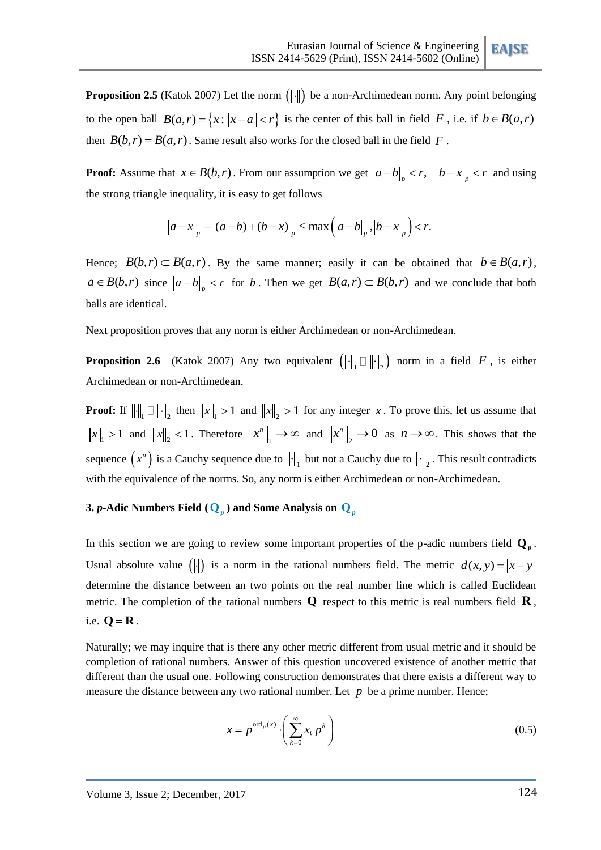**Proposition 2.5** (Katok 2007) Let the norm  $\left( \left\| \cdot \right\| \right)$  be a non-Archimedean norm. Any point belonging to the open ball  $B(a,r) = \{x : ||x-a|| < r\}$  is the center of this ball in field F, i.e. if  $b \in B(a,r)$ then  $B(b, r) = B(a, r)$ . Same result also works for the closed ball in the field F.

**Proof:** Assume that  $x \in B(b, r)$ . From our assumption we get  $|a-b|_p < r$ ,  $|b-x|_p < r$  and using the strong triangle inequality, it is easy to get follows

$$
|a-x|_p = |(a-b)+(b-x)|_p \le \max\left(\left|a-b\right|_p, \left|b-x\right|_p\right) < r.
$$

Hence;  $B(b,r) \subset B(a,r)$ . By the same manner; easily it can be obtained that  $b \in B(a,r)$ ,  $a \in B(b,r)$  since  $|a-b|_p < r$  for b. Then we get  $B(a,r) \subset B(b,r)$  and we conclude that both balls are identical.

Next proposition proves that any norm is either Archimedean or non-Archimedean.

**Proposition 2.6** (Katok 2007) Any two equivalent  $\left( \left\| \cdot \right\|_{1} \Box \right\| \cdot \left\|_{2} \right)$  norm in a field F, is either Archimedean or non-Archimedean.

**Proof:** If  $\|\cdot\|_1 \square \|\cdot\|_2$  then  $\|x\|_1 > 1$  and  $\|x\|_2 > 1$  for any integer x. To prove this, let us assume that  $||x||_1 > 1$  and  $||x||_2 < 1$ . Therefore  $||x^n||_1$  $x^n \Big|_1 \to \infty$  and  $\Big\| x^n \Big\|_2 \to 0$  as  $n \to \infty$ . This shows that the sequence  $(x^n)$  is a Cauchy sequence due to  $\| \cdot \|_1$  but not a Cauchy due to  $\| \cdot \|_2$ . This result contradicts with the equivalence of the norms. So, any norm is either Archimedean or non-Archimedean.

# **3.**  $p$ -Adic Numbers Field (  $\mathbf{Q}_p$  ) and Some Analysis on  $\mathbf{Q}_p$

In this section we are going to review some important properties of the p-adic numbers field  $\mathbf{Q}_p$ . Usual absolute value (|-|) is a norm in the rational numbers field. The metric  $d(x, y) = |x - y|$ determine the distance between an two points on the real number line which is called Euclidean metric. The completion of the rational numbers **Q** respect to this metric is real numbers field **R** , i.e.  $\overline{\mathbf{Q}} = \mathbf{R}$ .

Naturally; we may inquire that is there any other metric different from usual metric and it should be completion of rational numbers. Answer of this question uncovered existence of another metric that different than the usual one. Following construction demonstrates that there exists a different way to measure the distance between any two rational number. Let  $p$  be a prime number. Hence;

$$
x = p^{\text{ord}_p(x)} \cdot \left(\sum_{k=0}^{\infty} x_k p^k\right) \tag{0.5}
$$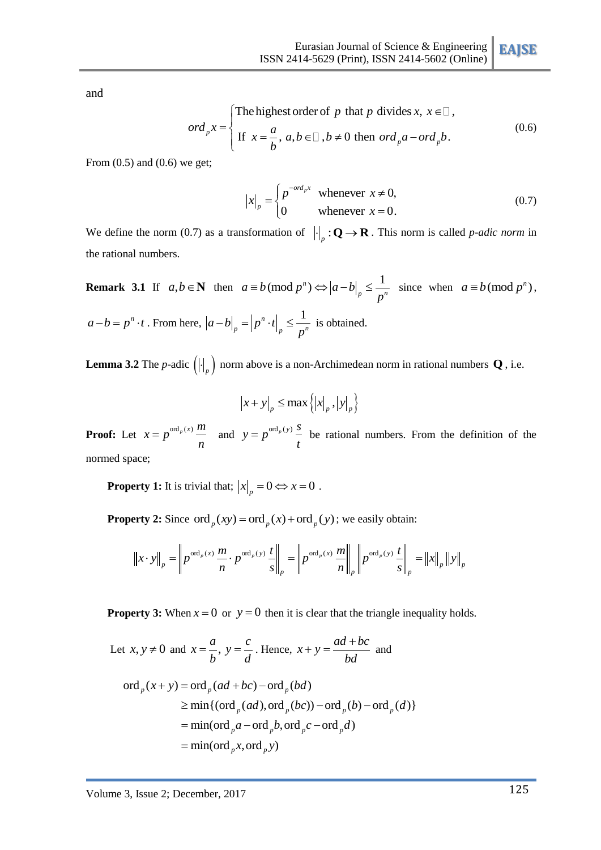and

$$
ord_{p}x = \begin{cases} \text{The highest order of } p \text{ that } p \text{ divides } x, x \in \square, \\ \text{If } x = \frac{a}{b}, a, b \in \square, b \neq 0 \text{ then } ord_{p}a - ord_{p}b. \end{cases}
$$
(0.6)

From  $(0.5)$  and  $(0.6)$  we get;

$$
|x|_{p} = \begin{cases} p^{-ord_{p}x} & \text{whenever } x \neq 0, \\ 0 & \text{whenever } x = 0. \end{cases}
$$
 (0.7)

We define the norm (0.7) as a transformation of  $\left\| \cdot \right\|_p : \mathbf{Q} \to \mathbf{R}$ . This norm is called *p-adic norm* in the rational numbers.

**Remark 3.1** If  $a, b \in \mathbb{N}$  then  $a \equiv b \pmod{p^n} \Leftrightarrow |a-b|_p \le \frac{1}{p^n}$  since when  $a \equiv b \pmod{p^n}$ ,  $a-b = p^n \cdot t$ . From here,  $|a-b| = |p^n \cdot t| \leq \frac{1}{2}$  $a-b\big|_p = \big|p^n \cdot t\big|_p \leq \frac{1}{p^n}$ *p*  $\left| -b \right|_n = \left| p^n \cdot t \right| \leq \frac{1}{n}$  is obtained.

**Lemma 3.2** The *p*-adic  $\left(\left|\cdot\right|_p\right)$  norm above is a non-Archimedean norm in rational numbers **Q**, i.e.

$$
|x+y|_p \le \max\left\{ |x|_p, |y|_p \right\}
$$

**Proof:** Let  $x = p^{\text{ord}_p(x)} \frac{m}{n}$ *n*  $=p^{\text{ord}_p(x)} \stackrel{m}{=}$  and  $y = p^{\text{ord}_p(y)} \stackrel{s}{=}$ *t*  $= p^{\text{ord}_p(y)} -$  be rational numbers. From the definition of the normed space;

**Property 1:** It is trivial that;  $|x|_p = 0 \Leftrightarrow x = 0$ .

**Property 2:** Since 
$$
\text{ord}_p(xy) = \text{ord}_p(x) + \text{ord}_p(y)
$$
; we easily obtain:  
\n
$$
\|x \cdot y\|_p = \left\| p^{\text{ord}_p(x)} \frac{m}{n} \cdot p^{\text{ord}_p(y)} \frac{t}{s} \right\|_p = \left\| p^{\text{ord}_p(x)} \frac{m}{n} \right\|_p \left\| p^{\text{ord}_p(y)} \frac{t}{s} \right\|_p = \left\| x \right\|_p \left\| y \right\|_p
$$

**Property 3:** When  $x = 0$  or  $y = 0$  then it is clear that the triangle inequality holds.

Let  $x, y \neq 0$  and  $x = \frac{a}{b}$ ,  $y = \frac{c}{d}$ *b d*  $=\frac{a}{x}$ ,  $y = \frac{c}{y}$ . Hence,  $x + y = \frac{ad + bc}{dx}$ *bd*  $x, y \neq 0$  and  $x = \frac{a}{b}$ ,  $y = \frac{c}{d}$ . Hence,  $x + y = \frac{ad + bc}{bd}$  and<br>ord<sub>p</sub> $(x + y) = \text{ord}_p(ad + bc) - \text{ord}_p(bd)$ 

$$
\begin{aligned} \n\text{ord}_p(x+y) &= \text{ord}_p(ad+bc) - \text{ord}_p(bd) \\ \n&\ge \min\{(\text{ord}_p(ad), \text{ord}_p(bc)) - \text{ord}_p(b) - \text{ord}_p(d)\} \\ \n&= \min(\text{ord}_pa - \text{ord}_pb, \text{ord}_pc - \text{ord}_pd) \\ \n&= \min(\text{ord}_px, \text{ord}_py) \n\end{aligned}
$$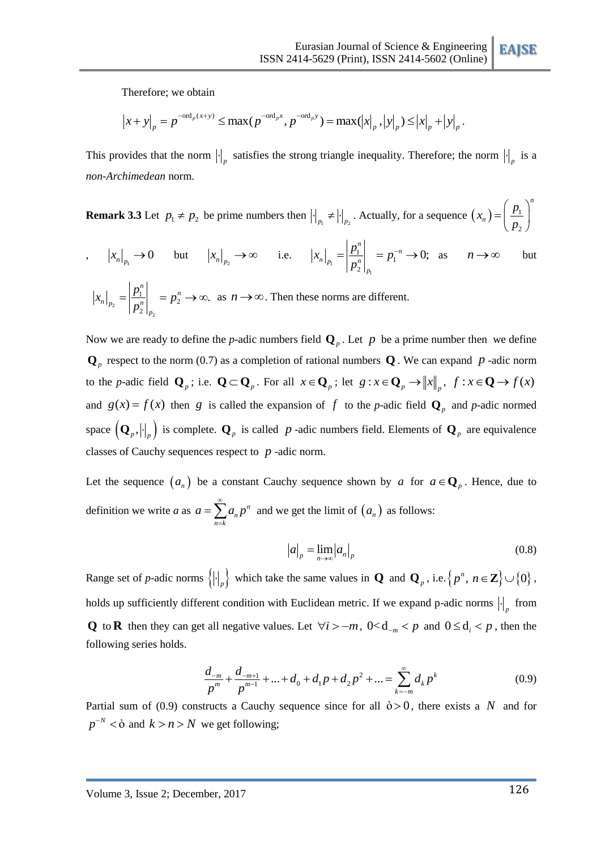Therefore; we obtain

Therefore; we obtain  
\n
$$
|x+y|_p = p^{-\text{ord}_p(x+y)} \le \max(p^{-\text{ord}_p x}, p^{-\text{ord}_p y}) = \max(|x|_p, |y|_p) \le |x|_p + |y|_p.
$$

This provides that the norm  $\left|\cdot\right|_p$  satisfies the strong triangle inequality. Therefore; the norm  $\left|\cdot\right|_p$  is a *non-Archimedean* norm.

**Remark 3.3** Let  $p_1 \neq p_2$  be prime numbers then  $\left|\cdot\right|_{p_1} \neq \left|\cdot\right|_{p_2}$ . Actually, for a sequence  $(x_n) = \left|\frac{p_1}{p_2}\right|$ 2 *n n*  $(x_n) = \left(\frac{p}{p}\right)$ *p*  $\left(p_{1}\right)^{n}$  $=\left(\frac{P_1}{P_2}\right)^{7}$  $|x_n|_{p_1} \to 0$  but  $|x_n|_{p_2} \to \infty$  i.e.  $|x_n|_{p_1}$  $\overline{1}$  $\left| \frac{1}{n} \right| = p_1$ 2 0;  $\begin{array}{c} n \\ 1 \end{array}$   $\begin{array}{c} n \\ -n \end{array}$  $n|_{p_1}$   $\Box$   $\Box$ *p*  $x_{n}\Big|_{p_{1}} = \left|\frac{p_{1}^{n}}{p_{2}^{n}}\right|_{p_{2}} = p$  $=\left|\frac{p_1^n}{n}\right| = p_1^{-n} \to 0; \text{ as } n \to \infty$ but 2  $\overline{c}$  $\left| \frac{1}{n} \right| = p_2^n$ 2  $|x_n|_{\infty} = \left|\frac{P_1}{R}\right| = p_2^n \rightarrow \infty.$  $\begin{array}{c} n \\ 1 \end{array}$   $\begin{array}{c} n \\ n \end{array}$  $n|_{p_2}$   $\Box$ <sub>n</sub>n *p*  $x_n\Big|_{p_2} = \left|\frac{p_1^n}{p_2^n}\right|_{p_2^n} = p_2^n \to \infty$ . as  $n \to \infty$ . Then these norms are different.

Now we are ready to define the *p*-adic numbers field  $\mathbf{Q}_p$ . Let *p* be a prime number then we define  $\mathbf{Q}_p$  respect to the norm (0.7) as a completion of rational numbers  $\mathbf{Q}$ . We can expand  $p$  -adic norm to the *p*-adic field  $\mathbf{Q}_p$ ; i.e.  $\mathbf{Q} \subset \mathbf{Q}_p$ . For all  $x \in \mathbf{Q}_p$ ; let  $g: x \in \mathbf{Q}_p \to ||x||_p$ ,  $f: x \in \mathbf{Q} \to f(x)$ and  $g(x) = f(x)$  then g is called the expansion of f to the p-adic field  $\mathbf{Q}_p$  and p-adic normed space  $(\mathbf{Q}_p, |\cdot|_p)$  is complete.  $\mathbf{Q}_p$  is called p-adic numbers field. Elements of  $\mathbf{Q}_p$  are equivalence classes of Cauchy sequences respect to  $p$  -adic norm.

Let the sequence  $(a_n)$  be a constant Cauchy sequence shown by a for  $a \in \mathbb{Q}_p$ . Hence, due to definition we write *a* as  $a = \sum a_n p^n$ *n*  $n = k$  $a = \sum a_n p$  $\infty$  $=\sum_{n=k} a_n p^n$  and we get the limit of  $(a_n)$  as follows:

$$
|a|_p = \lim_{n \to \infty} |a_n|_p \tag{0.8}
$$

Range set of *p*-adic norms  $\{ \left| \cdot \right|_p \}$  which take the same values in **Q** and **Q**<sub>*p*</sub>, i.e.  $\{ p^n, n \in \mathbb{Z} \} \cup \{ 0 \}$ , holds up sufficiently different condition with Euclidean metric. If we expand p-adic norms  $\left|\cdot\right|_p$  from **Q** to **R** then they can get all negative values. Let  $\forall i > -m$ ,  $0 < d_{-m} < p$  and  $0 \le d_i < p$ , then the following series holds.

$$
\frac{d_{-m}}{p^m} + \frac{d_{-m+1}}{p^{m-1}} + \dots + d_0 + d_1 p + d_2 p^2 + \dots = \sum_{k=-m}^{\infty} d_k p^k
$$
(0.9)

Partial sum of (0.9) constructs a Cauchy sequence since for all  $\dot{\theta} > 0$ , there exists a N and for  $p^{-N} < \delta$  and  $k > n > N$  we get following;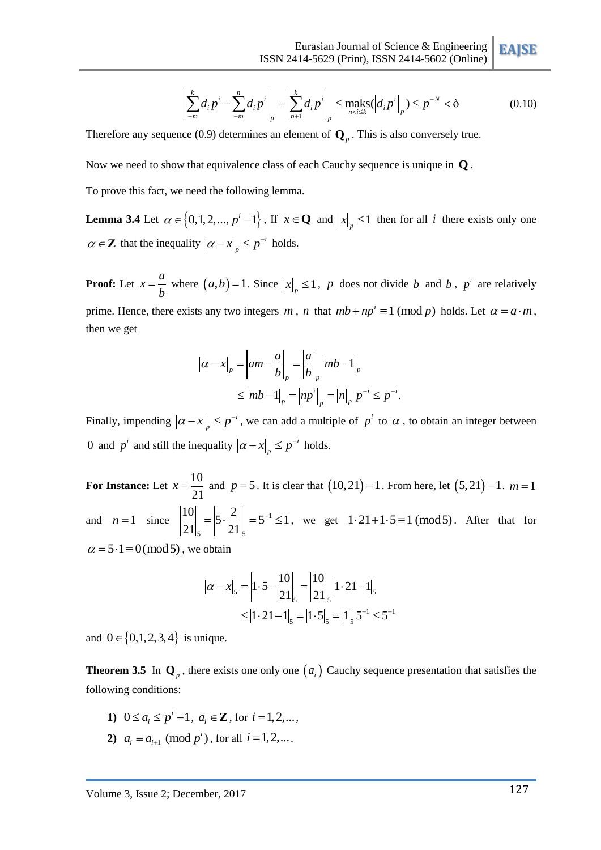$$
\text{ISSN 2414-5629 (Print), ISSN 2414-5602 (Online)} \left\| \sum_{m=1}^{k} d_i p^i - \sum_{m=1}^{n} d_i p^i \right\|_p = \left\| \sum_{n=1}^{k} d_i p^i \right\|_p \le \max_{n < i \le k} (d_i p^i \bigg|_p) \le p^{-N} < \delta \tag{0.10}
$$

Therefore any sequence (0.9) determines an element of **Q***<sup>p</sup>* . This is also conversely true.

Now we need to show that equivalence class of each Cauchy sequence is unique in **Q** .

To prove this fact, we need the following lemma.

**Lemma 3.4** Let  $\alpha \in \{0, 1, 2, ..., p^i - 1\}$ , If  $x \in \mathbb{Q}$  and  $|x|_p \le 1$  then for all *i* there exists only one  $\alpha \in \mathbb{Z}$  that the inequality  $|\alpha - x|$ ,  $\leq p^{-i}$  $\alpha - x \Big|_p \leq p^{-i}$  holds.

**Proof:** Let  $x = \frac{a}{b}$ *b*  $=\frac{a}{b}$  where  $(a,b)=1$ . Since  $|x|_p \leq 1$ , p does not divide b and b, p<sup>i</sup> are relatively prime. Hence, there exists any two integers m, n that  $mb + np^i \equiv 1 \pmod{p}$  holds. Let  $\alpha = a \cdot m$ , then we get

$$
|\alpha - x|_{p} = |\alpha m - \frac{a}{b}|_{p} = |\frac{a}{b}|_{p} |mb - 1|_{p}
$$
  
\n
$$
\leq |mb - 1|_{p} = |np^{i}|_{p} = |n|_{p} p^{-i} \leq p^{-i}.
$$

Finally, impending  $|\alpha - x|$   $\leq p^{-i}$  $\alpha - x\Big|_p \leq p^{-i}$ , we can add a multiple of  $p^i$  to  $\alpha$ , to obtain an integer between 0 and  $p^i$  and still the inequality  $|\alpha - x|$ ,  $\leq p^{-i}$  $\alpha - x \Big|_p \leq p^{-i}$  holds.

**For Instance:** Let  $x = \frac{10}{24}$ 21  $x = \frac{10}{21}$  and  $p = 5$ . It is clear that  $(10,21) = 1$ . From here, let  $(5,21) = 1$ .  $m = 1$ and  $n=1$  since  $\left|\frac{10}{21}\right| = \left|5 \cdot \frac{2}{21}\right| = 5^{-1}$  $_{5}$  |  $2I_{5}$  $\left| \frac{10}{21} \right| = \left| 5 \cdot \frac{2}{21} \right| = 5^{-1} \le 1$  $\frac{10}{21}\Big|_{5} = \Big|5 \cdot \frac{2}{21}\Big|_{5} = 5^{-1} \le 1$ , we get  $1 \cdot 21 + 1 \cdot 5 \equiv 1 \pmod{5}$ . After that for  $\alpha = 5.1 \equiv 0 \pmod{5}$ , we obtain

$$
|\alpha - x|_{5} = \left| 1 \cdot 5 - \frac{10}{21} \right|_{5} = \left| \frac{10}{21} \right|_{5} |1 \cdot 21 - 1|_{5}
$$
  
 
$$
\leq |1 \cdot 21 - 1|_{5} = |1 \cdot 5|_{5} = |1|_{5} 5^{-1} \leq 5^{-1}
$$

and  $\overline{0} \in \{0,1,2,3,4\}$  is unique.

**Theorem 3.5** In  $\mathbf{Q}_p$ , there exists one only one  $(a_i)$  Cauchy sequence presentation that satisfies the following conditions:

- **1)**  $0 \le a_i \le p^i 1$ ,  $a_i \in \mathbb{Z}$ , for  $i = 1, 2, \dots$ ,
- **2**)  $a_i \equiv a_{i+1} \pmod{p^i}$ , for all  $i = 1, 2, ...$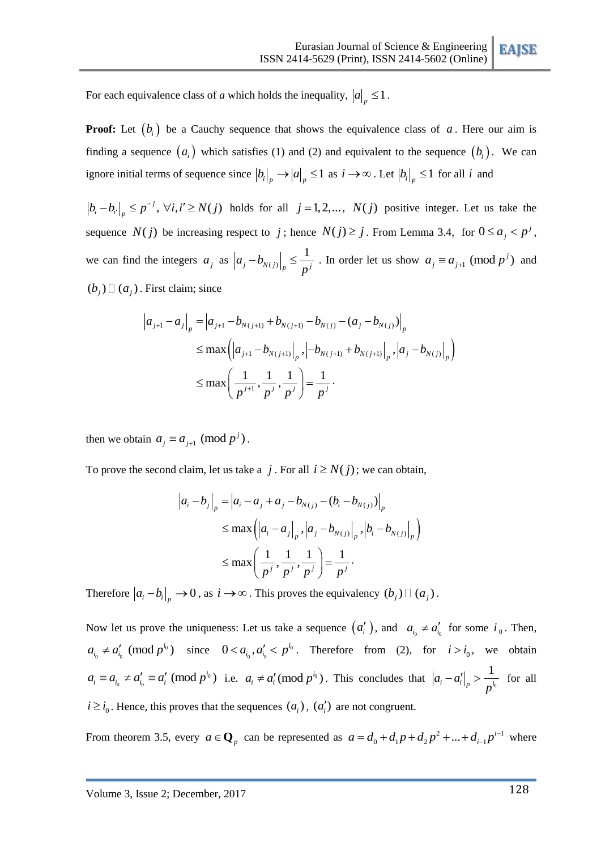For each equivalence class of *a* which holds the inequality,  $|a|_p \leq 1$ .

**Proof:** Let  $(b_i)$  be a Cauchy sequence that shows the equivalence class of a. Here our aim is finding a sequence  $(a_i)$  which satisfies (1) and (2) and equivalent to the sequence  $(b_i)$ . We can ignore initial terms of sequence since  $|b_i|_p \to |a|_p \le 1$  as  $i \to \infty$ . Let  $|b_i|_p \le 1$  for all i and

 $b_i - b_{i'}\Big|_p \le p^{-j}$ ,  $\forall i, i' \ge N(j)$  holds for all  $j = 1, 2,..., N(j)$  positive integer. Let us take the sequence  $N(j)$  be increasing respect to j; hence  $N(j) \geq j$ . From Lemma 3.4, for  $0 \leq a_j < p^j$ , we can find the integers  $a_j$  as  $|a_j - b_{N(j)}|$ 1  $a_j - b_{N(j)} \Big|_p \leq \frac{1}{n^j}$ *p*  $\left[-b_{N(j)}\right]_n \leq \frac{1}{n^j}$ . In order let us show  $a_j \equiv a_{j+1} \pmod{p^j}$  and  $(b_j)$   $\Box$   $(a_j)$ . First claim; since

First claim; since  
\n
$$
a_{j+1} - a_j \Big|_p = \Big| a_{j+1} - b_{N(j+1)} + b_{N(j+1)} - b_{N(j)} - (a_j - b_{N(j)}) \Big|_p
$$
\n
$$
\leq \max \Big( \Big| a_{j+1} - b_{N(j+1)} \Big|_p, \Big| -b_{N(j+1)} + b_{N(j+1)} \Big|_p, \Big| a_j - b_{N(j)} \Big|_p \Big)
$$
\n
$$
\leq \max \Big( \frac{1}{p^{j+1}}, \frac{1}{p^j}, \frac{1}{p^j} \Big) = \frac{1}{p^j}.
$$

then we obtain  $a_j \equiv a_{j+1} \pmod{p^j}$ .

To prove the second claim, let us take a *j*. For all  $i \ge N(j)$ ; we can obtain,

$$
|a_i - b_j|_p = |a_i - a_j + a_j - b_{N(j)} - (b_i - b_{N(j)})|_p
$$
  
\n
$$
\leq \max \left( |a_i - a_j|_p, |a_j - b_{N(j)}|_p, |b_i - b_{N(j)}|_p \right)
$$
  
\n
$$
\leq \max \left( \frac{1}{p^j}, \frac{1}{p^j}, \frac{1}{p^j} \right) = \frac{1}{p^j}.
$$

Therefore  $|a_i - b_i|_p \to 0$ , as  $i \to \infty$ . This proves the equivalency  $(b_j) \Box (a_j)$ .

Now let us prove the uniqueness: Let us take a sequence  $(a'_i)$ , and  $a_{i_0} \neq a'_{i_0}$  for some  $i_0$ . Then,  $a_{i_0} \neq a'_{i_0} \pmod{p^{i_0}}$  since  $0 < a_{i_0}, a'_{i_0} < p^{i_0}$  $0 < a_{i_0}, a'_{i_0} < p^{i_0}$ . Therefore from (2), for  $i > i_0$ , we obtain  $a_i \equiv a_{i_0} \neq a'_{i_0} \equiv a'_i \pmod{p^{i_0}}$  i.e.  $a_i \neq a'_i \pmod{p^{i_0}}$ . This concludes that  $|a_i - a'_i|_p > \frac{1}{n^{i_0}}$ 1  $a_i - a'_i \Big|_p > \frac{1}{n^i}$ *p*  $-a'_i\vert_{\mathcal{A}} > \frac{1}{i}$  for all  $i \ge i_0$ . Hence, this proves that the sequences  $(a_i)$ ,  $(a'_i)$  are not congruent.

From theorem 3.5, every  $a \in \mathbf{Q}_p$  can be represented as  $a = d_0 + d_1 p + d_2 p^2 + ... + d_{i-1} p^{i-1}$  $d_0 + d_1 p + d_2 p^2 + \dots + d_{i-1} p^i$  $a = d_0 + d_1 p + d_2 p^2 + \dots + d_{i-1} p^i$  $\overline{a}$  $=d_0 + d_1 p + d_2 p^2 + ... + d_{i-1} p^{i-1}$  where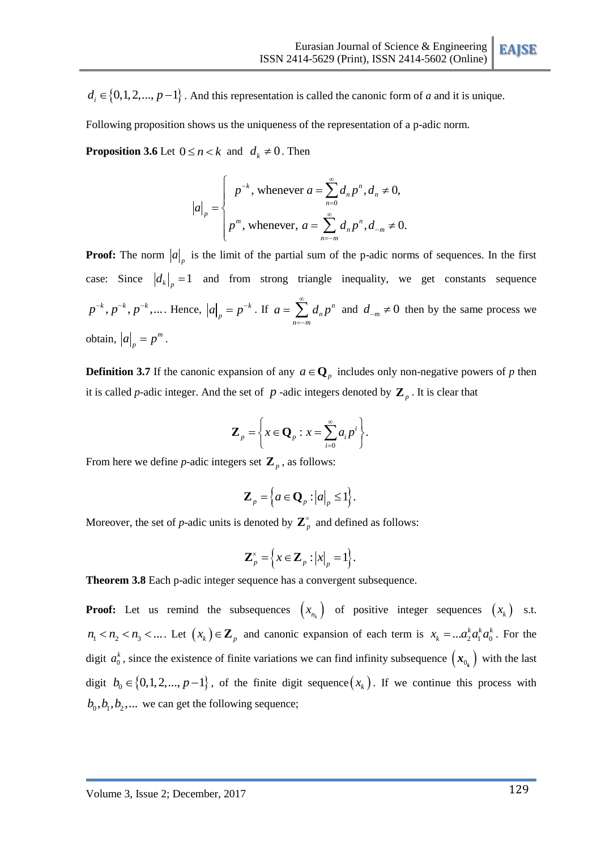$d_i \in \{0, 1, 2, ..., p-1\}$ . And this representation is called the canonic form of *a* and it is unique.

Following proposition shows us the uniqueness of the representation of a p-adic norm.

**Proposition 3.6** Let  $0 \le n < k$  and  $d_k \ne 0$ . Then

$$
|a|_{p} = \begin{cases} p^{-k}, \text{ whenever } a = \sum_{n=0}^{\infty} d_{n} p^{n}, d_{n} \neq 0, \\ p^{m}, \text{ whenever, } a = \sum_{n=-m}^{\infty} d_{n} p^{n}, d_{-m} \neq 0. \end{cases}
$$

**Proof:** The norm  $|a|_p$  is the limit of the partial sum of the p-adic norms of sequences. In the first case: Since  $\left| d_{k} \right|_{p} = 1$  and from strong triangle inequality, we get constants sequence  $p^{-k}, p^{-k}, p^{-k}, \dots$  Hence,  $|a|_p = p^{-k}$  $a|_{p} = p^{-k}$ . If  $a = \sum d_{n} p^{n}$ *n n*= $-m$  $a = \sum d_n p$  $\infty$  $=\sum_{n=-m} d_n p^n$  and  $d_{-m} \neq 0$  then by the same process we obtain,  $|a| = p^m$  $a|_{p} = p^{m}$ .

**Definition 3.7** If the canonic expansion of any  $a \in \mathbb{Q}_p$  includes only non-negative powers of *p* then it is called *p*-adic integer. And the set of  $p$  -adic integers denoted by  $\mathbf{Z}_p$ . It is clear that

$$
\mathbf{Z}_p = \left\{ x \in \mathbf{Q}_p : x = \sum_{i=0}^{\infty} a_i p^i \right\}.
$$

From here we define *p*-adic integers set  $\mathbf{Z}_p$ , as follows:

$$
\mathbf{Z}_{p} = \left\{ a \in \mathbf{Q}_{p} : |a|_{p} \leq 1 \right\}.
$$

Moreover, the set of *p*-adic units is denoted by  $\mathbb{Z}_p^{\times}$  and defined as follows:

$$
\mathbf{Z}_p^{\times} = \left\{ x \in \mathbf{Z}_p : |x|_p = 1 \right\}.
$$

**Theorem 3.8** Each p-adic integer sequence has a convergent subsequence.

**Proof:** Let us remind the subsequences  $(x_{n_k})$  of positive integer sequences  $(x_k)$  s.t.  $n_1 < n_2 < n_3 < ...$  Let  $(x_k) \in \mathbb{Z}_p$  and canonic expansion of each term is  $x_k = ... a_2^k a_1^k a_0^k$  $x_k = ... a_2^k a_1^k a_0^k$ . For the digit  $a_0^k$  $a_0^k$ , since the existence of finite variations we can find infinity subsequence  $(x_{0_k})$  with the last digit  $b_0 \in \{0, 1, 2, ..., p-1\}$ , of the finite digit sequence  $(x_k)$ . If we continue this process with  $b_0$ ,  $b_1$ ,  $b_2$ ,... we can get the following sequence;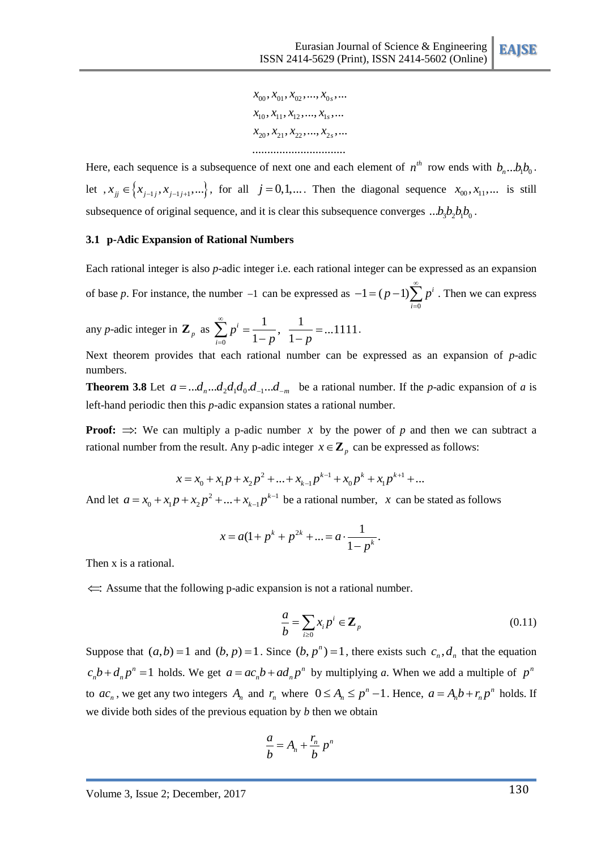$x_{10}$ ,  $x_{11}$ ,  $x_{12}$ , ...,  $x_{1s}$ , ...  $x_{20}, x_{21}, x_{22}, ..., x_{2s}, ...$  $x_{00}, x_{01}, x_{02}, ..., x_{0s}, ...$ ...............................

Here, each sequence is a subsequence of next one and each element of  $n^{th}$  row ends with  $b_n...b_1b_0$ . let  $x_{ij} \in \{x_{j-1}, x_{j-1,j+1}, ...\}$ , for all  $j = 0, 1,...$  Then the diagonal sequence  $x_{00}, x_{11},...$  is still subsequence of original sequence, and it is clear this subsequence converges  $...b_3b_2b_1b_0$ .

### **3.1 p-Adic Expansion of Rational Numbers**

Each rational integer is also *p*-adic integer i.e. each rational integer can be expressed as an expansion of base  $p$ . For instance, the number  $-1$  can be expressed as  $\mathbf{0}$  $1 = (p-1) \sum p^i$ *i*  $(p-1)\sum_{p=0}^{\infty} p^p$  $-1 = (p-1)\sum_{i=0} p^i$ . Then we can express

any *p*-adic integer in  $\mathbf{Z}_p$  as  $\sum_{0}^{5} p^{i} = \frac{1}{1-p}, \frac{1}{1-p} = ...1111$  $i = \frac{1}{1-p}, \frac{1}{1}$ *i*  $\sum_{i=0}^{\infty} p^i = \frac{1}{1-p}$ ,  $\frac{1}{1-p}$  $\overline{a}$  $=\frac{1}{1-\pi}$ ,  $\frac{1}{1-\pi}$  = ...1  $\sum_{i=0} p^{i} = \frac{1}{1-p}, \frac{1}{1-p} = ...1111.$ 

Next theorem provides that each rational number can be expressed as an expansion of *p*-adic numbers.

**Theorem 3.8** Let  $a = ...d_n...d_2d_1d_0d_{-1}...d_m$  be a rational number. If the *p*-adic expansion of *a* is left-hand periodic then this *p*-adic expansion states a rational number.

**Proof:**  $\Rightarrow$ : We can multiply a p-adic number x by the power of p and then we can subtract a

rational number from the result. Any p-adic integer 
$$
x \in \mathbb{Z}_p
$$
 can be expressed as follows:  

$$
x = x_0 + x_1 p + x_2 p^2 + \dots + x_{k-1} p^{k-1} + x_0 p^k + x_1 p^{k+1} + \dots
$$

And let  $a = x_0 + x_1 p + x_2 p^2 + ... + x_{k-1} p^{k-1}$  $x_0 + x_1 p + x_2 p^2 + \ldots + x_{k-1} p^k$  $a = x_0 + x_1 p + x_2 p^2 + ... + x_{k-1} p^k$  $\overline{a}$  $x = x_0 + x_1 p + x_2 p^2 + ... + x_{k-1} p^{k-1}$  be a rational number, x can be stated as follows

$$
x = a(1 + p^{k} + p^{2k} + \dots = a \cdot \frac{1}{1 - p^{k}}.
$$

Then x is a rational.

: Assume that the following p-adic expansion is not a rational number.

$$
\frac{a}{b} = \sum_{i\geq 0} x_i p^i \in \mathbf{Z}_p \tag{0.11}
$$

 $x_0 = x_0$ ,  $x_0 = x_0$ ,  $x_1 = x_0$ ,  $x_1 = x_1$ ,  $x_1 = x_1$ ,  $x_2 = x_1$ <br>
Then, each sequence is a subsequence of usea me and each element of  $y^k$  may ends with  $b_1...b_n$ .<br>
Her, each sequence is a subsequence of usea me and each Suppose that  $(a,b)=1$  and  $(b, p)=1$ . Since  $(b, p<sup>n</sup>)=1$ , there exists such  $c<sub>n</sub>$ ,  $d<sub>n</sub>$  that the equation  $n=1$  $c_n b + d_n p^n = 1$  holds. We get  $a = ac_n b + ad_n p^n$  by multiplying *a*. When we add a multiple of  $p^n$ to  $ac_n$ , we get any two integers  $A_n$  and  $r_n$  where  $0 \le A_n \le p^n - 1$ . Hence,  $a = A_nb + r_np^n$  holds. If we divide both sides of the previous equation by *b* then we obtain

$$
\frac{a}{b} = A_n + \frac{r_n}{b} p^n
$$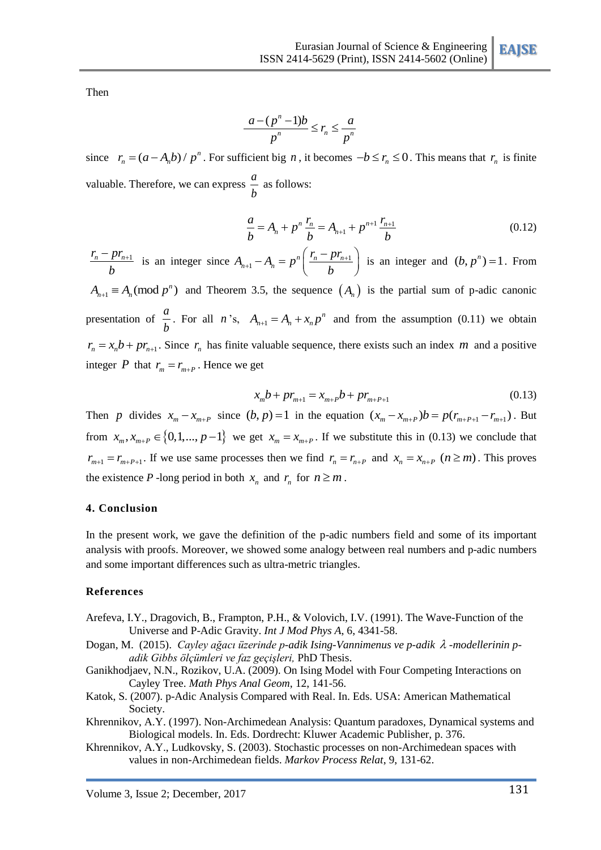Then

$$
\frac{a-(p^n-1)b}{p^n} \le r_n \le \frac{a}{p^n}
$$

since  $r_n = (a - A_n b) / p^n$ . For sufficient big *n*, it becomes  $-b \le r_n \le 0$ . This means that  $r_n$  is finite valuable. Therefore, we can express  $\frac{a}{b}$ *b* as follows:

$$
\frac{a}{b} = A_n + p^n \frac{r_n}{b} = A_{n+1} + p^{n+1} \frac{r_{n+1}}{b}
$$
 (0.12)

 $r_n - pr_{n+1}$ *b*  $\frac{-pr_{n+1}}{b}$  is an integer since  $A_{n+1} - A_n = p^n \left( \frac{r_n - pr_{n+1}}{b} \right)$  $A_{+1} - A_n = p^n \left( \frac{r_n - pr_{n+1}}{b} \right)$  is is an integer and  $(b, p^n) = 1$ . From  $A_{n+1} \equiv A_n \pmod{p^n}$  and Theorem 3.5, the sequence  $(A_n)$  is the partial sum of p-adic canonic

presentation of  $\frac{a}{b}$ *b* For all *n*'s,  $A_{n+1} = A_n + x_n p^n$  and from the assumption (0.11) we obtain  $r_n = x_n b + pr_{n+1}$ . Since  $r_n$  has finite valuable sequence, there exists such an index *m* and a positive integer *P* that  $r_m = r_{m+p}$ . Hence we get

$$
x_m b + pr_{m+1} = x_{m+P} b + pr_{m+P+1}
$$
 (0.13)

Then *p* divides  $x_m - x_{m+p}$  since  $(b, p) = 1$  in the equation  $(x_m - x_{m+p})b = p(r_{m+p+1} - r_{m+1})$ . But from  $x_m$ ,  $x_{m+p} \in \{0,1,..., p-1\}$  we get  $x_m = x_{m+p}$ . If we substitute this in (0.13) we conclude that  $r_{m+1} = r_{m+P+1}$ . If we use same processes then we find  $r_n = r_{n+P}$  and  $x_n = x_{n+P}$   $(n \ge m)$ . This proves the existence P -long period in both  $x_n$  and  $r_n$  for  $n \ge m$ .

#### **4. Conclusion**

In the present work, we gave the definition of the p-adic numbers field and some of its important analysis with proofs. Moreover, we showed some analogy between real numbers and p-adic numbers and some important differences such as ultra-metric triangles.

## **References**

- <span id="page-10-0"></span>Arefeva, I.Y., Dragovich, B., Frampton, P.H., & Volovich, I.V. (1991). The Wave-Function of the Universe and P-Adic Gravity. *Int J Mod Phys A*, 6, 4341-58.
- <span id="page-10-3"></span>Dogan, M. (2015). *Cayley ağacı üzerinde p-adik Ising-Vannimenus ve p-adik -modellerinin padik Gibbs ölçümleri ve faz geçişleri,* PhD Thesis.
- Ganikhodjaev, N.N., Rozikov, U.A. (2009). On Ising Model with Four Competing Interactions on Cayley Tree. *Math Phys Anal Geom*, 12, 141-56.
- Katok, S. (2007). p-Adic Analysis Compared with Real. In. Eds. USA: American Mathematical Society.
- <span id="page-10-1"></span>Khrennikov, A.Y. (1997). Non-Archimedean Analysis: Quantum paradoxes, Dynamical systems and Biological models. In. Eds. Dordrecht: Kluwer Academic Publisher, p. 376.
- <span id="page-10-2"></span>Khrennikov, A.Y., Ludkovsky, S. (2003). Stochastic processes on non-Archimedean spaces with values in non-Archimedean fields. *Markov Process Relat*, 9, 131-62.